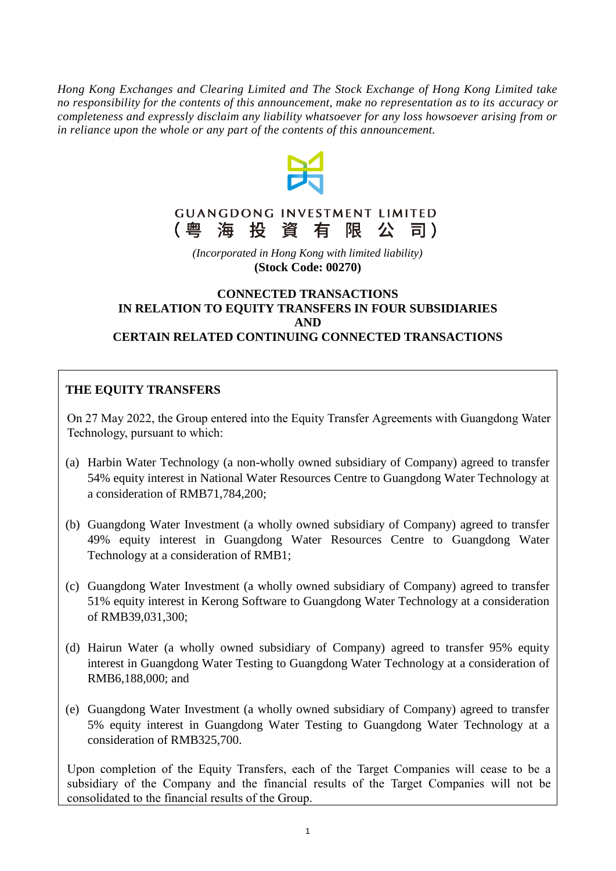*Hong Kong Exchanges and Clearing Limited and The Stock Exchange of Hong Kong Limited take no responsibility for the contents of this announcement, make no representation as to its accuracy or completeness and expressly disclaim any liability whatsoever for any loss howsoever arising from or in reliance upon the whole or any part of the contents of this announcement.*



#### **GUANGDONG INVESTMENT LIMITED** 海投資有限公 (粤 司)

*(Incorporated in Hong Kong with limited liability)* **(Stock Code: 00270)**

### **CONNECTED TRANSACTIONS IN RELATION TO EQUITY TRANSFERS IN FOUR SUBSIDIARIES AND CERTAIN RELATED CONTINUING CONNECTED TRANSACTIONS**

# **THE EQUITY TRANSFERS**

On 27 May 2022, the Group entered into the Equity Transfer Agreements with Guangdong Water Technology, pursuant to which:

- (a) Harbin Water Technology (a non-wholly owned subsidiary of Company) agreed to transfer 54% equity interest in National Water Resources Centre to Guangdong Water Technology at a consideration of RMB71,784,200;
- (b) Guangdong Water Investment (a wholly owned subsidiary of Company) agreed to transfer 49% equity interest in Guangdong Water Resources Centre to Guangdong Water Technology at a consideration of RMB1;
- (c) Guangdong Water Investment (a wholly owned subsidiary of Company) agreed to transfer 51% equity interest in Kerong Software to Guangdong Water Technology at a consideration of RMB39,031,300;
- (d) Hairun Water (a wholly owned subsidiary of Company) agreed to transfer 95% equity interest in Guangdong Water Testing to Guangdong Water Technology at a consideration of RMB6,188,000; and
- (e) Guangdong Water Investment (a wholly owned subsidiary of Company) agreed to transfer 5% equity interest in Guangdong Water Testing to Guangdong Water Technology at a consideration of RMB325,700.

Upon completion of the Equity Transfers, each of the Target Companies will cease to be a subsidiary of the Company and the financial results of the Target Companies will not be consolidated to the financial results of the Group.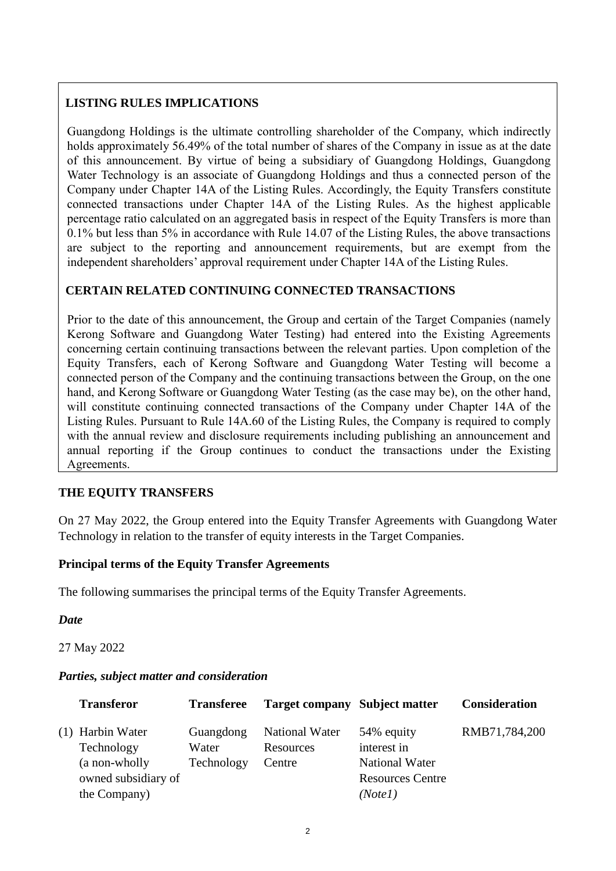# **LISTING RULES IMPLICATIONS**

Guangdong Holdings is the ultimate controlling shareholder of the Company, which indirectly holds approximately 56.49% of the total number of shares of the Company in issue as at the date of this announcement. By virtue of being a subsidiary of Guangdong Holdings, Guangdong Water Technology is an associate of Guangdong Holdings and thus a connected person of the Company under Chapter 14A of the Listing Rules. Accordingly, the Equity Transfers constitute connected transactions under Chapter 14A of the Listing Rules. As the highest applicable percentage ratio calculated on an aggregated basis in respect of the Equity Transfers is more than 0.1% but less than 5% in accordance with Rule 14.07 of the Listing Rules, the above transactions are subject to the reporting and announcement requirements, but are exempt from the independent shareholders' approval requirement under Chapter 14A of the Listing Rules.

# **CERTAIN RELATED CONTINUING CONNECTED TRANSACTIONS**

Prior to the date of this announcement, the Group and certain of the Target Companies (namely Kerong Software and Guangdong Water Testing) had entered into the Existing Agreements concerning certain continuing transactions between the relevant parties. Upon completion of the Equity Transfers, each of Kerong Software and Guangdong Water Testing will become a connected person of the Company and the continuing transactions between the Group, on the one hand, and Kerong Software or Guangdong Water Testing (as the case may be), on the other hand, will constitute continuing connected transactions of the Company under Chapter 14A of the Listing Rules. Pursuant to Rule 14A.60 of the Listing Rules, the Company is required to comply with the annual review and disclosure requirements including publishing an announcement and annual reporting if the Group continues to conduct the transactions under the Existing Agreements.

# **THE EQUITY TRANSFERS**

On 27 May 2022, the Group entered into the Equity Transfer Agreements with Guangdong Water Technology in relation to the transfer of equity interests in the Target Companies.

### **Principal terms of the Equity Transfer Agreements**

The following summarises the principal terms of the Equity Transfer Agreements.

*Date*

27 May 2022

### *Parties, subject matter and consideration*

| <b>Transferor</b>   | <b>Transferee</b> | <b>Target company Subject matter</b> |                         | <b>Consideration</b> |
|---------------------|-------------------|--------------------------------------|-------------------------|----------------------|
| (1) Harbin Water    | Guangdong         | <b>National Water</b>                | 54% equity              | RMB71,784,200        |
| Technology          | Water             | Resources                            | interest in             |                      |
| (a non-wholly       | Technology        | Centre                               | <b>National Water</b>   |                      |
| owned subsidiary of |                   |                                      | <b>Resources Centre</b> |                      |
| the Company)        |                   |                                      | (Note1)                 |                      |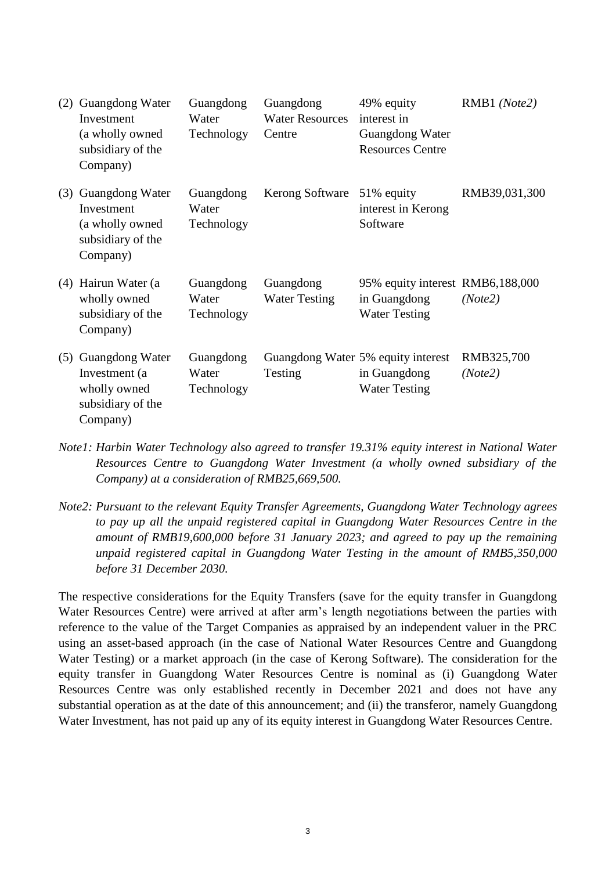| (2) | Guangdong Water<br>Investment<br>(a wholly owned<br>subsidiary of the<br>Company) | Guangdong<br>Water<br>Technology | Guangdong<br><b>Water Resources</b><br>Centre | 49% equity<br>interest in<br>Guangdong Water<br><b>Resources Centre</b>    | RMB1 (Note2)          |
|-----|-----------------------------------------------------------------------------------|----------------------------------|-----------------------------------------------|----------------------------------------------------------------------------|-----------------------|
| (3) | Guangdong Water<br>Investment<br>(a wholly owned<br>subsidiary of the<br>Company) | Guangdong<br>Water<br>Technology | <b>Kerong Software</b>                        | 51% equity<br>interest in Kerong<br>Software                               | RMB39,031,300         |
|     | (4) Hairun Water (a<br>wholly owned<br>subsidiary of the<br>Company)              | Guangdong<br>Water<br>Technology | Guangdong<br><b>Water Testing</b>             | 95% equity interest RMB6,188,000<br>in Guangdong<br><b>Water Testing</b>   | (Note2)               |
| (5) | Guangdong Water<br>Investment (a<br>wholly owned<br>subsidiary of the<br>Company) | Guangdong<br>Water<br>Technology | Testing                                       | Guangdong Water 5% equity interest<br>in Guangdong<br><b>Water Testing</b> | RMB325,700<br>(Note2) |

*Note1: Harbin Water Technology also agreed to transfer 19.31% equity interest in National Water Resources Centre to Guangdong Water Investment (a wholly owned subsidiary of the Company) at a consideration of RMB25,669,500.*

*Note2: Pursuant to the relevant Equity Transfer Agreements, Guangdong Water Technology agrees to pay up all the unpaid registered capital in Guangdong Water Resources Centre in the amount of RMB19,600,000 before 31 January 2023; and agreed to pay up the remaining unpaid registered capital in Guangdong Water Testing in the amount of RMB5,350,000 before 31 December 2030.*

The respective considerations for the Equity Transfers (save for the equity transfer in Guangdong Water Resources Centre) were arrived at after arm's length negotiations between the parties with reference to the value of the Target Companies as appraised by an independent valuer in the PRC using an asset-based approach (in the case of National Water Resources Centre and Guangdong Water Testing) or a market approach (in the case of Kerong Software). The consideration for the equity transfer in Guangdong Water Resources Centre is nominal as (i) Guangdong Water Resources Centre was only established recently in December 2021 and does not have any substantial operation as at the date of this announcement; and (ii) the transferor, namely Guangdong Water Investment, has not paid up any of its equity interest in Guangdong Water Resources Centre.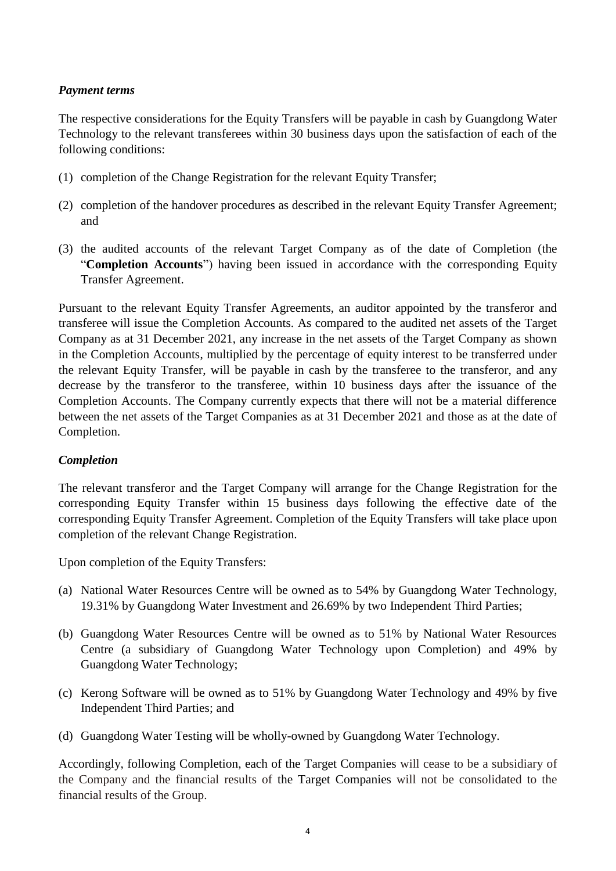### *Payment terms*

The respective considerations for the Equity Transfers will be payable in cash by Guangdong Water Technology to the relevant transferees within 30 business days upon the satisfaction of each of the following conditions:

- (1) completion of the Change Registration for the relevant Equity Transfer;
- (2) completion of the handover procedures as described in the relevant Equity Transfer Agreement; and
- (3) the audited accounts of the relevant Target Company as of the date of Completion (the "**Completion Accounts**") having been issued in accordance with the corresponding Equity Transfer Agreement.

Pursuant to the relevant Equity Transfer Agreements, an auditor appointed by the transferor and transferee will issue the Completion Accounts. As compared to the audited net assets of the Target Company as at 31 December 2021, any increase in the net assets of the Target Company as shown in the Completion Accounts, multiplied by the percentage of equity interest to be transferred under the relevant Equity Transfer, will be payable in cash by the transferee to the transferor, and any decrease by the transferor to the transferee, within 10 business days after the issuance of the Completion Accounts. The Company currently expects that there will not be a material difference between the net assets of the Target Companies as at 31 December 2021 and those as at the date of Completion.

### *Completion*

The relevant transferor and the Target Company will arrange for the Change Registration for the corresponding Equity Transfer within 15 business days following the effective date of the corresponding Equity Transfer Agreement. Completion of the Equity Transfers will take place upon completion of the relevant Change Registration.

Upon completion of the Equity Transfers:

- (a) National Water Resources Centre will be owned as to 54% by Guangdong Water Technology, 19.31% by Guangdong Water Investment and 26.69% by two Independent Third Parties;
- (b) Guangdong Water Resources Centre will be owned as to 51% by National Water Resources Centre (a subsidiary of Guangdong Water Technology upon Completion) and 49% by Guangdong Water Technology;
- (c) Kerong Software will be owned as to 51% by Guangdong Water Technology and 49% by five Independent Third Parties; and
- (d) Guangdong Water Testing will be wholly-owned by Guangdong Water Technology.

Accordingly, following Completion, each of the Target Companies will cease to be a subsidiary of the Company and the financial results of the Target Companies will not be consolidated to the financial results of the Group.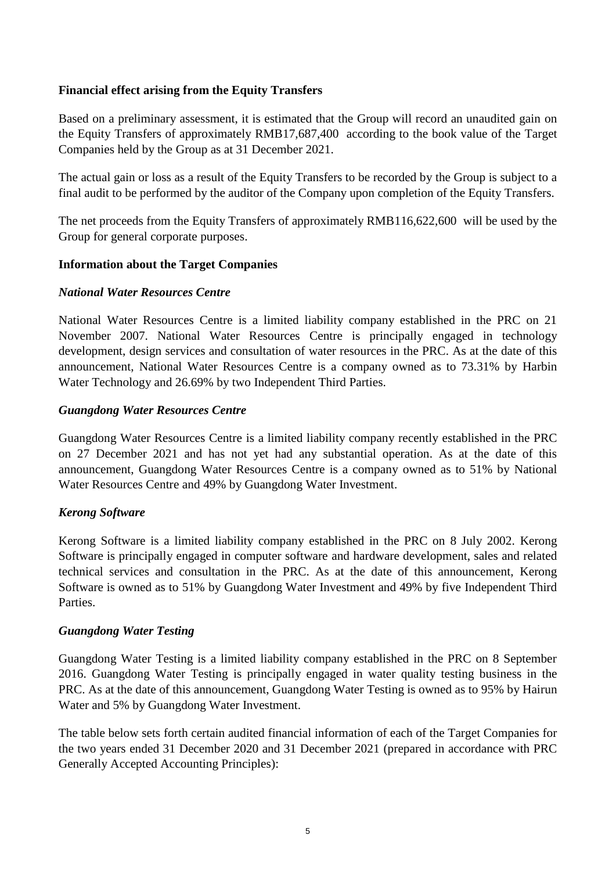### **Financial effect arising from the Equity Transfers**

Based on a preliminary assessment, it is estimated that the Group will record an unaudited gain on the Equity Transfers of approximately RMB17,687,400 according to the book value of the Target Companies held by the Group as at 31 December 2021.

The actual gain or loss as a result of the Equity Transfers to be recorded by the Group is subject to a final audit to be performed by the auditor of the Company upon completion of the Equity Transfers.

The net proceeds from the Equity Transfers of approximately RMB116,622,600 will be used by the Group for general corporate purposes.

### **Information about the Target Companies**

### *National Water Resources Centre*

National Water Resources Centre is a limited liability company established in the PRC on 21 November 2007. National Water Resources Centre is principally engaged in technology development, design services and consultation of water resources in the PRC. As at the date of this announcement, National Water Resources Centre is a company owned as to 73.31% by Harbin Water Technology and 26.69% by two Independent Third Parties.

#### *Guangdong Water Resources Centre*

Guangdong Water Resources Centre is a limited liability company recently established in the PRC on 27 December 2021 and has not yet had any substantial operation. As at the date of this announcement, Guangdong Water Resources Centre is a company owned as to 51% by National Water Resources Centre and 49% by Guangdong Water Investment.

#### *Kerong Software*

Kerong Software is a limited liability company established in the PRC on 8 July 2002. Kerong Software is principally engaged in computer software and hardware development, sales and related technical services and consultation in the PRC. As at the date of this announcement, Kerong Software is owned as to 51% by Guangdong Water Investment and 49% by five Independent Third **Parties** 

#### *Guangdong Water Testing*

Guangdong Water Testing is a limited liability company established in the PRC on 8 September 2016. Guangdong Water Testing is principally engaged in water quality testing business in the PRC. As at the date of this announcement, Guangdong Water Testing is owned as to 95% by Hairun Water and 5% by Guangdong Water Investment.

The table below sets forth certain audited financial information of each of the Target Companies for the two years ended 31 December 2020 and 31 December 2021 (prepared in accordance with PRC Generally Accepted Accounting Principles):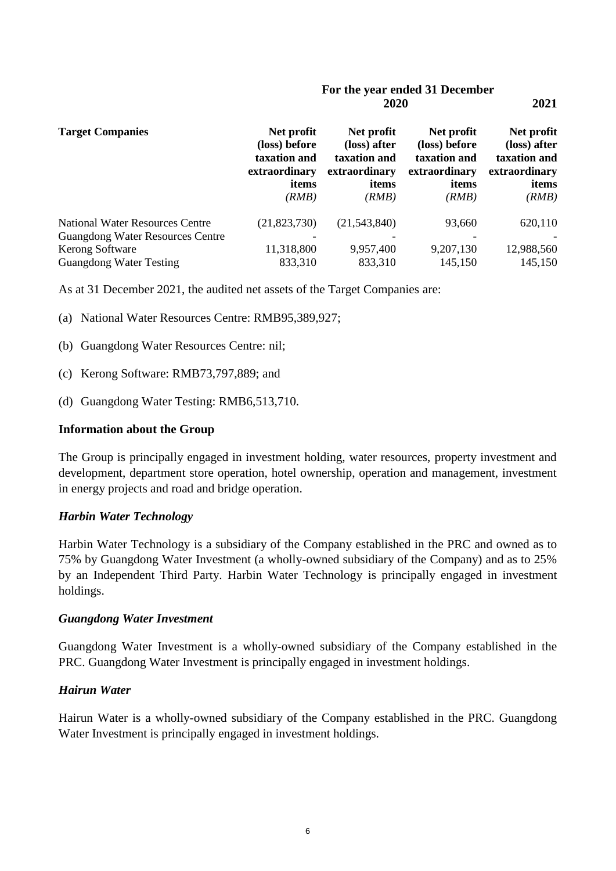#### **For the year ended 31 December 2020 2021**

| <b>Target Companies</b>                 | Net profit<br>(loss) before<br>taxation and<br>extraordinary<br>items<br>(RMB) | Net profit<br>(loss) after<br>taxation and<br>extraordinary<br>items<br>(RMB) | Net profit<br>(loss) before<br>taxation and<br>extraordinary<br>items<br>(RMB) | Net profit<br>(loss) after<br>taxation and<br>extraordinary<br>items<br>(RMB) |
|-----------------------------------------|--------------------------------------------------------------------------------|-------------------------------------------------------------------------------|--------------------------------------------------------------------------------|-------------------------------------------------------------------------------|
| <b>National Water Resources Centre</b>  | (21, 823, 730)                                                                 | (21,543,840)                                                                  | 93,660                                                                         | 620,110                                                                       |
| <b>Guangdong Water Resources Centre</b> |                                                                                |                                                                               |                                                                                |                                                                               |
| Kerong Software                         | 11,318,800                                                                     | 9,957,400                                                                     | 9,207,130                                                                      | 12,988,560                                                                    |
| <b>Guangdong Water Testing</b>          | 833,310                                                                        | 833,310                                                                       | 145,150                                                                        | 145,150                                                                       |

As at 31 December 2021, the audited net assets of the Target Companies are:

- (a) National Water Resources Centre: RMB95,389,927;
- (b) Guangdong Water Resources Centre: nil;
- (c) Kerong Software: RMB73,797,889; and
- (d) Guangdong Water Testing: RMB6,513,710.

#### **Information about the Group**

The Group is principally engaged in investment holding, water resources, property investment and development, department store operation, hotel ownership, operation and management, investment in energy projects and road and bridge operation.

#### *Harbin Water Technology*

Harbin Water Technology is a subsidiary of the Company established in the PRC and owned as to 75% by Guangdong Water Investment (a wholly-owned subsidiary of the Company) and as to 25% by an Independent Third Party. Harbin Water Technology is principally engaged in investment holdings.

#### *Guangdong Water Investment*

Guangdong Water Investment is a wholly-owned subsidiary of the Company established in the PRC. Guangdong Water Investment is principally engaged in investment holdings.

#### *Hairun Water*

Hairun Water is a wholly-owned subsidiary of the Company established in the PRC. Guangdong Water Investment is principally engaged in investment holdings.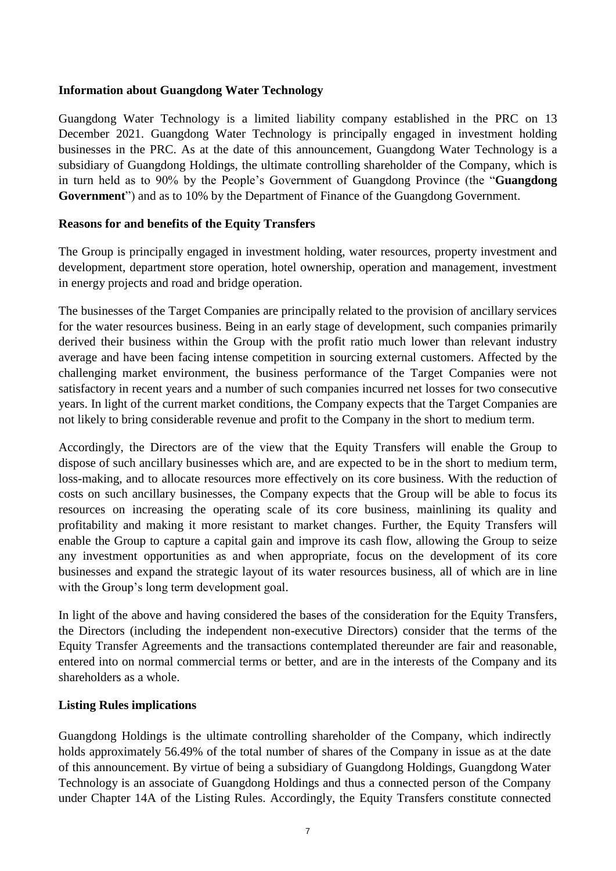### **Information about Guangdong Water Technology**

Guangdong Water Technology is a limited liability company established in the PRC on 13 December 2021. Guangdong Water Technology is principally engaged in investment holding businesses in the PRC. As at the date of this announcement, Guangdong Water Technology is a subsidiary of Guangdong Holdings, the ultimate controlling shareholder of the Company, which is in turn held as to 90% by the People's Government of Guangdong Province (the "**Guangdong Government**") and as to 10% by the Department of Finance of the Guangdong Government.

### **Reasons for and benefits of the Equity Transfers**

The Group is principally engaged in investment holding, water resources, property investment and development, department store operation, hotel ownership, operation and management, investment in energy projects and road and bridge operation.

The businesses of the Target Companies are principally related to the provision of ancillary services for the water resources business. Being in an early stage of development, such companies primarily derived their business within the Group with the profit ratio much lower than relevant industry average and have been facing intense competition in sourcing external customers. Affected by the challenging market environment, the business performance of the Target Companies were not satisfactory in recent years and a number of such companies incurred net losses for two consecutive years. In light of the current market conditions, the Company expects that the Target Companies are not likely to bring considerable revenue and profit to the Company in the short to medium term.

Accordingly, the Directors are of the view that the Equity Transfers will enable the Group to dispose of such ancillary businesses which are, and are expected to be in the short to medium term, loss-making, and to allocate resources more effectively on its core business. With the reduction of costs on such ancillary businesses, the Company expects that the Group will be able to focus its resources on increasing the operating scale of its core business, mainlining its quality and profitability and making it more resistant to market changes. Further, the Equity Transfers will enable the Group to capture a capital gain and improve its cash flow, allowing the Group to seize any investment opportunities as and when appropriate, focus on the development of its core businesses and expand the strategic layout of its water resources business, all of which are in line with the Group's long term development goal.

In light of the above and having considered the bases of the consideration for the Equity Transfers, the Directors (including the independent non-executive Directors) consider that the terms of the Equity Transfer Agreements and the transactions contemplated thereunder are fair and reasonable, entered into on normal commercial terms or better, and are in the interests of the Company and its shareholders as a whole.

### **Listing Rules implications**

Guangdong Holdings is the ultimate controlling shareholder of the Company, which indirectly holds approximately 56.49% of the total number of shares of the Company in issue as at the date of this announcement. By virtue of being a subsidiary of Guangdong Holdings, Guangdong Water Technology is an associate of Guangdong Holdings and thus a connected person of the Company under Chapter 14A of the Listing Rules. Accordingly, the Equity Transfers constitute connected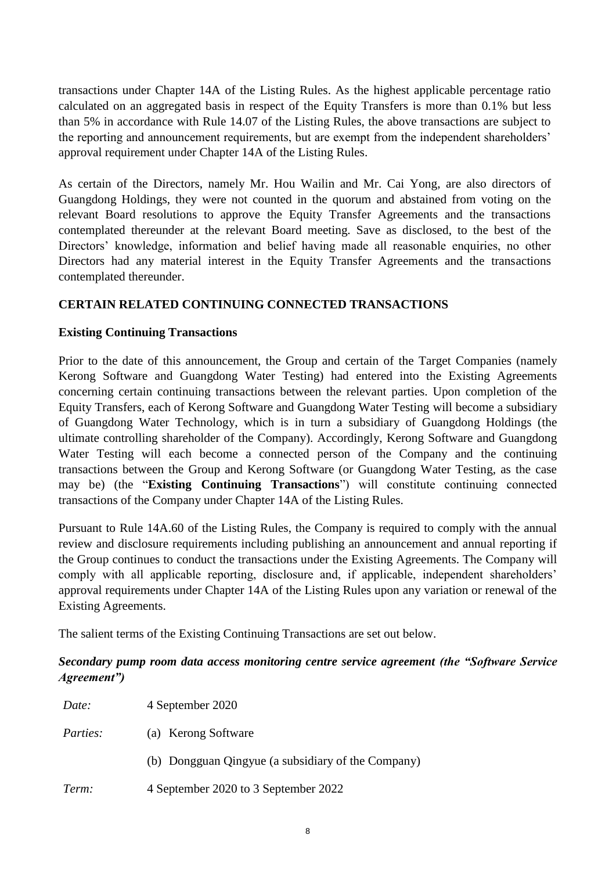transactions under Chapter 14A of the Listing Rules. As the highest applicable percentage ratio calculated on an aggregated basis in respect of the Equity Transfers is more than 0.1% but less than 5% in accordance with Rule 14.07 of the Listing Rules, the above transactions are subject to the reporting and announcement requirements, but are exempt from the independent shareholders' approval requirement under Chapter 14A of the Listing Rules.

As certain of the Directors, namely Mr. Hou Wailin and Mr. Cai Yong, are also directors of Guangdong Holdings, they were not counted in the quorum and abstained from voting on the relevant Board resolutions to approve the Equity Transfer Agreements and the transactions contemplated thereunder at the relevant Board meeting. Save as disclosed, to the best of the Directors' knowledge, information and belief having made all reasonable enquiries, no other Directors had any material interest in the Equity Transfer Agreements and the transactions contemplated thereunder.

### **CERTAIN RELATED CONTINUING CONNECTED TRANSACTIONS**

### **Existing Continuing Transactions**

Prior to the date of this announcement, the Group and certain of the Target Companies (namely Kerong Software and Guangdong Water Testing) had entered into the Existing Agreements concerning certain continuing transactions between the relevant parties. Upon completion of the Equity Transfers, each of Kerong Software and Guangdong Water Testing will become a subsidiary of Guangdong Water Technology, which is in turn a subsidiary of Guangdong Holdings (the ultimate controlling shareholder of the Company). Accordingly, Kerong Software and Guangdong Water Testing will each become a connected person of the Company and the continuing transactions between the Group and Kerong Software (or Guangdong Water Testing, as the case may be) (the "**Existing Continuing Transactions**") will constitute continuing connected transactions of the Company under Chapter 14A of the Listing Rules.

Pursuant to Rule 14A.60 of the Listing Rules, the Company is required to comply with the annual review and disclosure requirements including publishing an announcement and annual reporting if the Group continues to conduct the transactions under the Existing Agreements. The Company will comply with all applicable reporting, disclosure and, if applicable, independent shareholders' approval requirements under Chapter 14A of the Listing Rules upon any variation or renewal of the Existing Agreements.

The salient terms of the Existing Continuing Transactions are set out below.

## *Secondary pump room data access monitoring centre service agreement (the "Software Service Agreement")*

| Date:           | 4 September 2020                                   |
|-----------------|----------------------------------------------------|
| <i>Parties:</i> | (a) Kerong Software                                |
|                 | (b) Dongguan Qingyue (a subsidiary of the Company) |
| Term:           | 4 September 2020 to 3 September 2022               |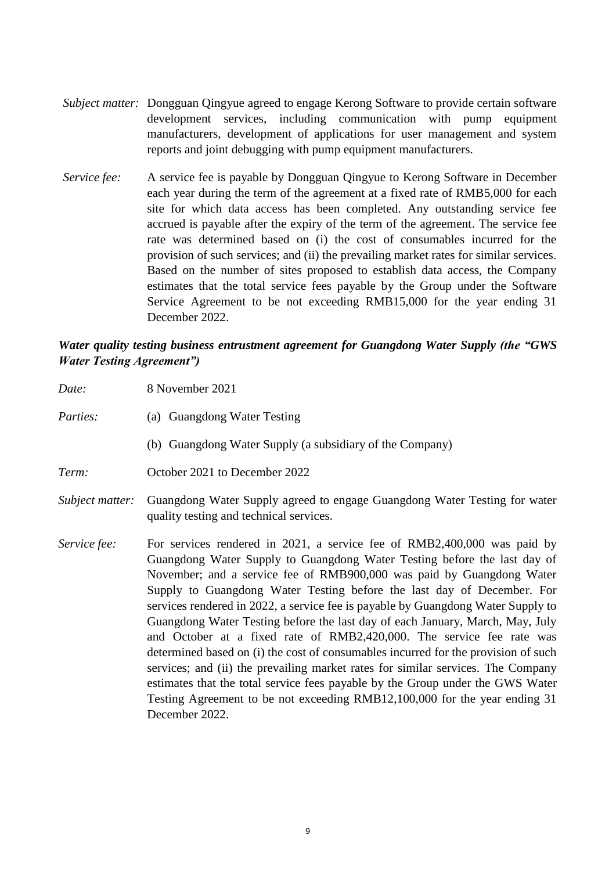- *Subject matter:* Dongguan Qingyue agreed to engage Kerong Software to provide certain software development services, including communication with pump equipment manufacturers, development of applications for user management and system reports and joint debugging with pump equipment manufacturers.
- *Service fee:* A service fee is payable by Dongguan Qingyue to Kerong Software in December each year during the term of the agreement at a fixed rate of RMB5,000 for each site for which data access has been completed. Any outstanding service fee accrued is payable after the expiry of the term of the agreement. The service fee rate was determined based on (i) the cost of consumables incurred for the provision of such services; and (ii) the prevailing market rates for similar services. Based on the number of sites proposed to establish data access, the Company estimates that the total service fees payable by the Group under the Software Service Agreement to be not exceeding RMB15,000 for the year ending 31 December 2022.

### *Water quality testing business entrustment agreement for Guangdong Water Supply (the "GWS Water Testing Agreement")*

| Date:           | 8 November 2021                                                                                                                                                                                                                                                                                                                                                                                                                                                                                                                                                                                                                                                                                                                                                                                                                                                                                                   |
|-----------------|-------------------------------------------------------------------------------------------------------------------------------------------------------------------------------------------------------------------------------------------------------------------------------------------------------------------------------------------------------------------------------------------------------------------------------------------------------------------------------------------------------------------------------------------------------------------------------------------------------------------------------------------------------------------------------------------------------------------------------------------------------------------------------------------------------------------------------------------------------------------------------------------------------------------|
| Parties:        | (a) Guangdong Water Testing                                                                                                                                                                                                                                                                                                                                                                                                                                                                                                                                                                                                                                                                                                                                                                                                                                                                                       |
|                 | (b) Guangdong Water Supply (a subsidiary of the Company)                                                                                                                                                                                                                                                                                                                                                                                                                                                                                                                                                                                                                                                                                                                                                                                                                                                          |
| Term:           | October 2021 to December 2022                                                                                                                                                                                                                                                                                                                                                                                                                                                                                                                                                                                                                                                                                                                                                                                                                                                                                     |
| Subject matter: | Guangdong Water Supply agreed to engage Guangdong Water Testing for water<br>quality testing and technical services.                                                                                                                                                                                                                                                                                                                                                                                                                                                                                                                                                                                                                                                                                                                                                                                              |
| Service fee:    | For services rendered in 2021, a service fee of RMB2,400,000 was paid by<br>Guangdong Water Supply to Guangdong Water Testing before the last day of<br>November; and a service fee of RMB900,000 was paid by Guangdong Water<br>Supply to Guangdong Water Testing before the last day of December. For<br>services rendered in 2022, a service fee is payable by Guangdong Water Supply to<br>Guangdong Water Testing before the last day of each January, March, May, July<br>and October at a fixed rate of RMB2,420,000. The service fee rate was<br>determined based on (i) the cost of consumables incurred for the provision of such<br>services; and (ii) the prevailing market rates for similar services. The Company<br>estimates that the total service fees payable by the Group under the GWS Water<br>Testing Agreement to be not exceeding RMB12,100,000 for the year ending 31<br>December 2022. |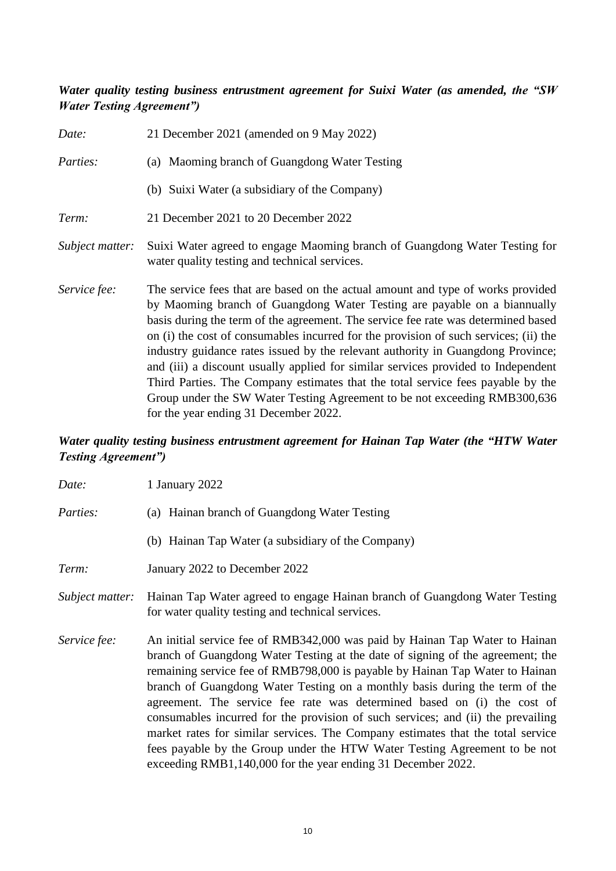# *Water quality testing business entrustment agreement for Suixi Water (as amended, the "SW Water Testing Agreement")*

| Date:           | 21 December 2021 (amended on 9 May 2022)                                                                                                                                                                                                                                                                                                                                                                                                                                                                                                                                                                                                                                                                                  |
|-----------------|---------------------------------------------------------------------------------------------------------------------------------------------------------------------------------------------------------------------------------------------------------------------------------------------------------------------------------------------------------------------------------------------------------------------------------------------------------------------------------------------------------------------------------------------------------------------------------------------------------------------------------------------------------------------------------------------------------------------------|
| Parties:        | (a) Maoming branch of Guangdong Water Testing                                                                                                                                                                                                                                                                                                                                                                                                                                                                                                                                                                                                                                                                             |
|                 | (b) Suixi Water (a subsidiary of the Company)                                                                                                                                                                                                                                                                                                                                                                                                                                                                                                                                                                                                                                                                             |
| Term:           | 21 December 2021 to 20 December 2022                                                                                                                                                                                                                                                                                                                                                                                                                                                                                                                                                                                                                                                                                      |
| Subject matter: | Suixi Water agreed to engage Maoming branch of Guangdong Water Testing for<br>water quality testing and technical services.                                                                                                                                                                                                                                                                                                                                                                                                                                                                                                                                                                                               |
| Service fee:    | The service fees that are based on the actual amount and type of works provided<br>by Maoming branch of Guangdong Water Testing are payable on a biannually<br>basis during the term of the agreement. The service fee rate was determined based<br>on (i) the cost of consumables incurred for the provision of such services; (ii) the<br>industry guidance rates issued by the relevant authority in Guangdong Province;<br>and (iii) a discount usually applied for similar services provided to Independent<br>Third Parties. The Company estimates that the total service fees payable by the<br>Group under the SW Water Testing Agreement to be not exceeding RMB300,636<br>for the year ending 31 December 2022. |

# *Water quality testing business entrustment agreement for Hainan Tap Water (the "HTW Water Testing Agreement")*

| Date:           | 1 January 2022                                                                                                                                                                                                                                                                                                                                                                                                                                                                                                                                                                                                                                                                                                              |  |
|-----------------|-----------------------------------------------------------------------------------------------------------------------------------------------------------------------------------------------------------------------------------------------------------------------------------------------------------------------------------------------------------------------------------------------------------------------------------------------------------------------------------------------------------------------------------------------------------------------------------------------------------------------------------------------------------------------------------------------------------------------------|--|
| <i>Parties:</i> | (a) Hainan branch of Guangdong Water Testing                                                                                                                                                                                                                                                                                                                                                                                                                                                                                                                                                                                                                                                                                |  |
|                 | (b) Hainan Tap Water (a subsidiary of the Company)                                                                                                                                                                                                                                                                                                                                                                                                                                                                                                                                                                                                                                                                          |  |
| Term:           | January 2022 to December 2022                                                                                                                                                                                                                                                                                                                                                                                                                                                                                                                                                                                                                                                                                               |  |
| Subject matter: | Hainan Tap Water agreed to engage Hainan branch of Guangdong Water Testing<br>for water quality testing and technical services.                                                                                                                                                                                                                                                                                                                                                                                                                                                                                                                                                                                             |  |
| Service fee:    | An initial service fee of RMB342,000 was paid by Hainan Tap Water to Hainan<br>branch of Guangdong Water Testing at the date of signing of the agreement; the<br>remaining service fee of RMB798,000 is payable by Hainan Tap Water to Hainan<br>branch of Guangdong Water Testing on a monthly basis during the term of the<br>agreement. The service fee rate was determined based on (i) the cost of<br>consumables incurred for the provision of such services; and (ii) the prevailing<br>market rates for similar services. The Company estimates that the total service<br>fees payable by the Group under the HTW Water Testing Agreement to be not<br>exceeding RMB1,140,000 for the year ending 31 December 2022. |  |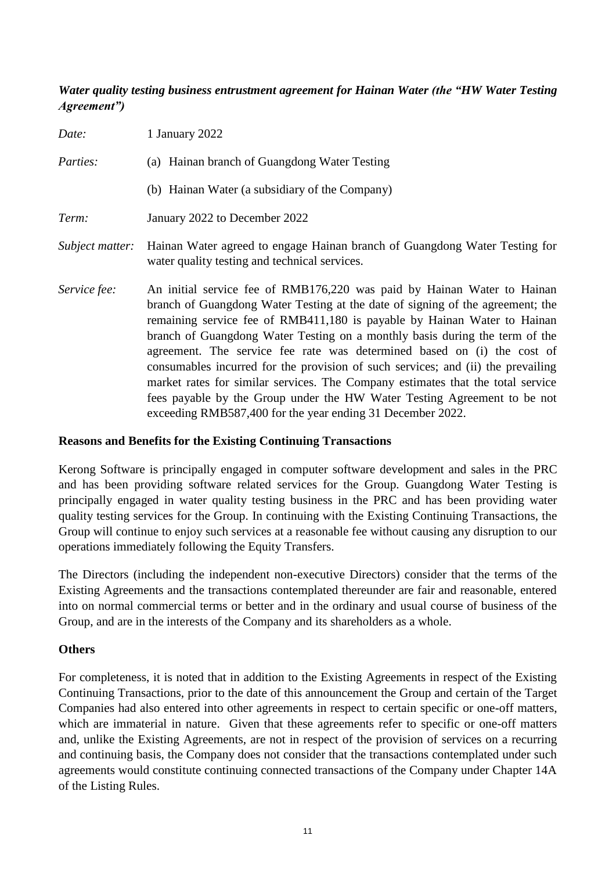# *Water quality testing business entrustment agreement for Hainan Water (the "HW Water Testing Agreement")*

| Date:           | 1 January 2022                                                                                                                                                                                                                                                                                                                                                                                                                                                                                                                                                                                                                                                                                                   |
|-----------------|------------------------------------------------------------------------------------------------------------------------------------------------------------------------------------------------------------------------------------------------------------------------------------------------------------------------------------------------------------------------------------------------------------------------------------------------------------------------------------------------------------------------------------------------------------------------------------------------------------------------------------------------------------------------------------------------------------------|
| <i>Parties:</i> | (a) Hainan branch of Guangdong Water Testing                                                                                                                                                                                                                                                                                                                                                                                                                                                                                                                                                                                                                                                                     |
|                 | (b) Hainan Water (a subsidiary of the Company)                                                                                                                                                                                                                                                                                                                                                                                                                                                                                                                                                                                                                                                                   |
| Term:           | January 2022 to December 2022                                                                                                                                                                                                                                                                                                                                                                                                                                                                                                                                                                                                                                                                                    |
| Subject matter: | Hainan Water agreed to engage Hainan branch of Guangdong Water Testing for<br>water quality testing and technical services.                                                                                                                                                                                                                                                                                                                                                                                                                                                                                                                                                                                      |
| Service fee:    | An initial service fee of RMB176,220 was paid by Hainan Water to Hainan<br>branch of Guangdong Water Testing at the date of signing of the agreement; the<br>remaining service fee of RMB411,180 is payable by Hainan Water to Hainan<br>branch of Guangdong Water Testing on a monthly basis during the term of the<br>agreement. The service fee rate was determined based on (i) the cost of<br>consumables incurred for the provision of such services; and (ii) the prevailing<br>market rates for similar services. The Company estimates that the total service<br>fees payable by the Group under the HW Water Testing Agreement to be not<br>exceeding RMB587,400 for the year ending 31 December 2022. |

#### **Reasons and Benefits for the Existing Continuing Transactions**

Kerong Software is principally engaged in computer software development and sales in the PRC and has been providing software related services for the Group. Guangdong Water Testing is principally engaged in water quality testing business in the PRC and has been providing water quality testing services for the Group. In continuing with the Existing Continuing Transactions, the Group will continue to enjoy such services at a reasonable fee without causing any disruption to our operations immediately following the Equity Transfers.

The Directors (including the independent non-executive Directors) consider that the terms of the Existing Agreements and the transactions contemplated thereunder are fair and reasonable, entered into on normal commercial terms or better and in the ordinary and usual course of business of the Group, and are in the interests of the Company and its shareholders as a whole.

### **Others**

For completeness, it is noted that in addition to the Existing Agreements in respect of the Existing Continuing Transactions, prior to the date of this announcement the Group and certain of the Target Companies had also entered into other agreements in respect to certain specific or one-off matters, which are immaterial in nature. Given that these agreements refer to specific or one-off matters and, unlike the Existing Agreements, are not in respect of the provision of services on a recurring and continuing basis, the Company does not consider that the transactions contemplated under such agreements would constitute continuing connected transactions of the Company under Chapter 14A of the Listing Rules.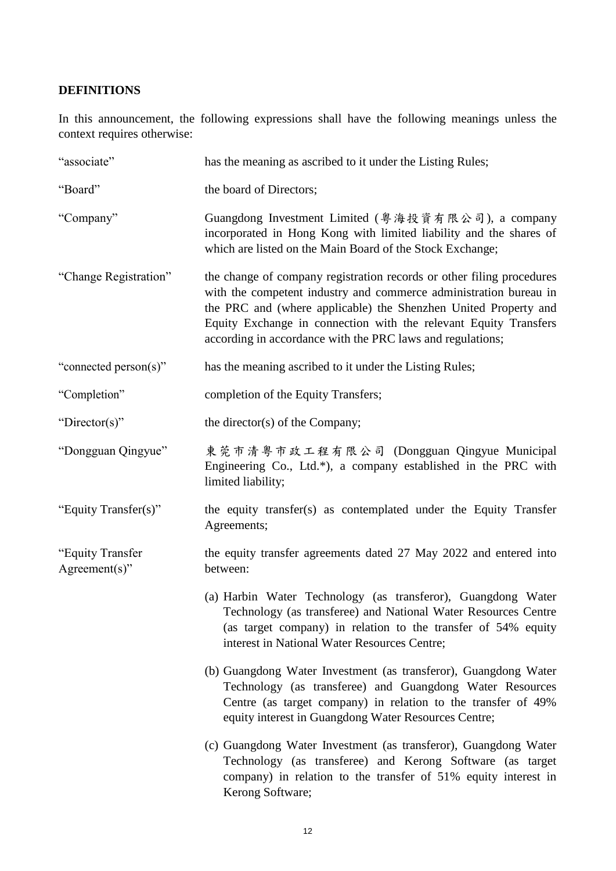# **DEFINITIONS**

In this announcement, the following expressions shall have the following meanings unless the context requires otherwise:

| "associate"                          | has the meaning as ascribed to it under the Listing Rules;                                                                                                                                                                                                                                                                                      |
|--------------------------------------|-------------------------------------------------------------------------------------------------------------------------------------------------------------------------------------------------------------------------------------------------------------------------------------------------------------------------------------------------|
| "Board"                              | the board of Directors;                                                                                                                                                                                                                                                                                                                         |
| "Company"                            | Guangdong Investment Limited (粤海投資有限公司), a company<br>incorporated in Hong Kong with limited liability and the shares of<br>which are listed on the Main Board of the Stock Exchange;                                                                                                                                                           |
| "Change Registration"                | the change of company registration records or other filing procedures<br>with the competent industry and commerce administration bureau in<br>the PRC and (where applicable) the Shenzhen United Property and<br>Equity Exchange in connection with the relevant Equity Transfers<br>according in accordance with the PRC laws and regulations; |
| "connected person(s)"                | has the meaning ascribed to it under the Listing Rules;                                                                                                                                                                                                                                                                                         |
| "Completion"                         | completion of the Equity Transfers;                                                                                                                                                                                                                                                                                                             |
| "Director(s)"                        | the director(s) of the Company;                                                                                                                                                                                                                                                                                                                 |
| "Dongguan Qingyue"                   | 東莞市清粤市政工程有限公司 (Dongguan Qingyue Municipal<br>Engineering Co., Ltd.*), a company established in the PRC with<br>limited liability;                                                                                                                                                                                                               |
| "Equity Transfer(s)"                 | the equity transfer(s) as contemplated under the Equity Transfer<br>Agreements;                                                                                                                                                                                                                                                                 |
| "Equity Transfer<br>$Agreement(s)$ " | the equity transfer agreements dated 27 May 2022 and entered into<br>between:                                                                                                                                                                                                                                                                   |
|                                      | (a) Harbin Water Technology (as transferor), Guangdong Water<br>Technology (as transferee) and National Water Resources Centre<br>(as target company) in relation to the transfer of 54% equity<br>interest in National Water Resources Centre;                                                                                                 |
|                                      | (b) Guangdong Water Investment (as transferor), Guangdong Water<br>Technology (as transferee) and Guangdong Water Resources<br>Centre (as target company) in relation to the transfer of 49%<br>equity interest in Guangdong Water Resources Centre;                                                                                            |
|                                      | (c) Guangdong Water Investment (as transferor), Guangdong Water<br>Technology (as transferee) and Kerong Software (as target<br>company) in relation to the transfer of 51% equity interest in<br>Kerong Software;                                                                                                                              |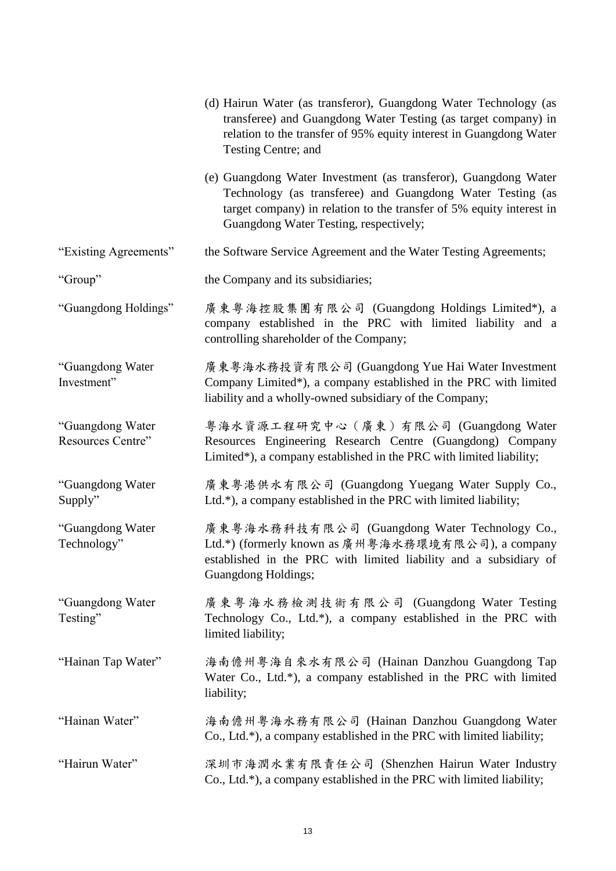|                                       | (d) Hairun Water (as transferor), Guangdong Water Technology (as<br>transferee) and Guangdong Water Testing (as target company) in<br>relation to the transfer of 95% equity interest in Guangdong Water<br>Testing Centre; and                 |
|---------------------------------------|-------------------------------------------------------------------------------------------------------------------------------------------------------------------------------------------------------------------------------------------------|
|                                       | (e) Guangdong Water Investment (as transferor), Guangdong Water<br>Technology (as transferee) and Guangdong Water Testing (as<br>target company) in relation to the transfer of 5% equity interest in<br>Guangdong Water Testing, respectively; |
| "Existing Agreements"                 | the Software Service Agreement and the Water Testing Agreements;                                                                                                                                                                                |
| "Group"                               | the Company and its subsidiaries;                                                                                                                                                                                                               |
| "Guangdong Holdings"                  | 廣東粤海控股集團有限公司 (Guangdong Holdings Limited*), a<br>company established in the PRC with limited liability and a<br>controlling shareholder of the Company;                                                                                         |
| "Guangdong Water<br>Investment"       | 廣東粤海水務投資有限公司 (Guangdong Yue Hai Water Investment<br>Company Limited*), a company established in the PRC with limited<br>liability and a wholly-owned subsidiary of the Company;                                                                 |
| "Guangdong Water<br>Resources Centre" | 粤海水資源工程研究中心(廣東)有限公司 (Guangdong Water<br>Resources Engineering Research Centre (Guangdong) Company<br>Limited*), a company established in the PRC with limited liability;                                                                        |
| "Guangdong Water<br>Supply"           | 廣東粤港供水有限公司 (Guangdong Yuegang Water Supply Co.,<br>Ltd.*), a company established in the PRC with limited liability;                                                                                                                             |
| "Guangdong Water<br>Technology"       | 廣東粤海水務科技有限公司 (Guangdong Water Technology Co.,<br>Ltd.*) (formerly known as 廣州粤海水務環境有限公司), a company<br>established in the PRC with limited liability and a subsidiary of<br>Guangdong Holdings;                                                 |
| "Guangdong Water<br>Testing"          | 廣東粵海水務檢測技術有限公司 (Guangdong Water Testing<br>Technology Co., Ltd.*), a company established in the PRC with<br>limited liability;                                                                                                                  |
| "Hainan Tap Water"                    | 海南儋州粤海自來水有限公司 (Hainan Danzhou Guangdong Tap<br>Water Co., Ltd.*), a company established in the PRC with limited<br>liability;                                                                                                                   |
| "Hainan Water"                        | 海南儋州粤海水務有限公司 (Hainan Danzhou Guangdong Water<br>Co., Ltd.*), a company established in the PRC with limited liability;                                                                                                                           |
| "Hairun Water"                        | 深圳市海潤水業有限責任公司 (Shenzhen Hairun Water Industry<br>Co., Ltd.*), a company established in the PRC with limited liability;                                                                                                                          |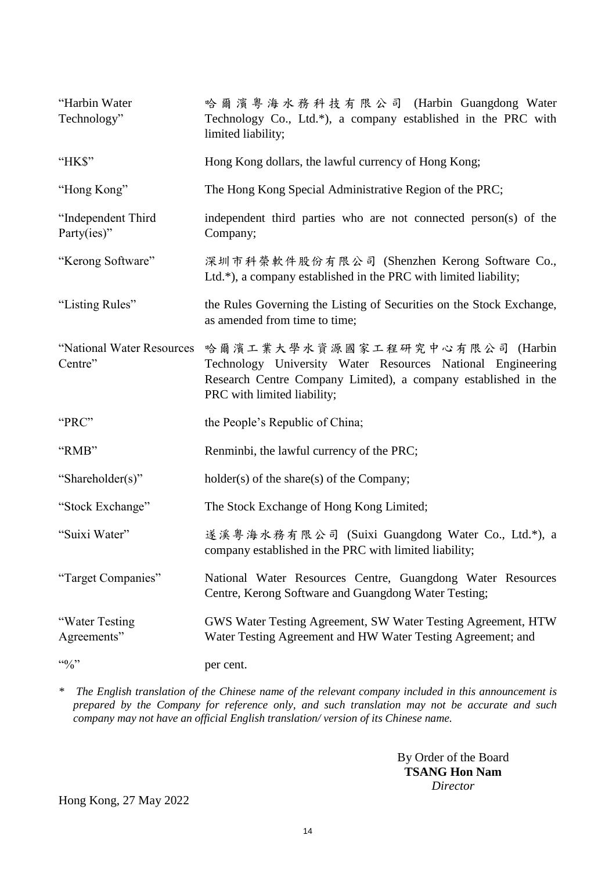| "Harbin Water<br>Technology"          | 哈爾濱粤海水務科技有限公司 (Harbin Guangdong Water<br>Technology Co., Ltd.*), a company established in the PRC with<br>limited liability;                                                                  |
|---------------------------------------|-----------------------------------------------------------------------------------------------------------------------------------------------------------------------------------------------|
| "HK\$"                                | Hong Kong dollars, the lawful currency of Hong Kong;                                                                                                                                          |
| "Hong Kong"                           | The Hong Kong Special Administrative Region of the PRC;                                                                                                                                       |
| "Independent Third<br>Party(ies)"     | independent third parties who are not connected person(s) of the<br>Company;                                                                                                                  |
| "Kerong Software"                     | 深圳市科榮軟件股份有限公司 (Shenzhen Kerong Software Co.,<br>Ltd.*), a company established in the PRC with limited liability;                                                                              |
| "Listing Rules"                       | the Rules Governing the Listing of Securities on the Stock Exchange,<br>as amended from time to time;                                                                                         |
| "National Water Resources"<br>Centre" | 哈爾濱工業大學水資源國家工程研究中心有限公司 (Harbin<br>Technology University Water Resources National Engineering<br>Research Centre Company Limited), a company established in the<br>PRC with limited liability; |
| "PRC"                                 | the People's Republic of China;                                                                                                                                                               |
| "RMB"                                 | Renminbi, the lawful currency of the PRC;                                                                                                                                                     |
| "Shareholder(s)"                      | holder(s) of the share(s) of the Company;                                                                                                                                                     |
| "Stock Exchange"                      | The Stock Exchange of Hong Kong Limited;                                                                                                                                                      |
| "Suixi Water"                         | 遂溪粤海水務有限公司 (Suixi Guangdong Water Co., Ltd.*), a<br>company established in the PRC with limited liability;                                                                                    |
| "Target Companies"                    | National Water Resources Centre, Guangdong Water Resources<br>Centre, Kerong Software and Guangdong Water Testing;                                                                            |
| "Water Testing<br>Agreements"         | GWS Water Testing Agreement, SW Water Testing Agreement, HTW<br>Water Testing Agreement and HW Water Testing Agreement; and                                                                   |
| $4.6$ %                               | per cent.                                                                                                                                                                                     |

*\* The English translation of the Chinese name of the relevant company included in this announcement is prepared by the Company for reference only, and such translation may not be accurate and such company may not have an official English translation/ version of its Chinese name.*

> By Order of the Board **TSANG Hon Nam** *Director*

Hong Kong, 27 May 2022